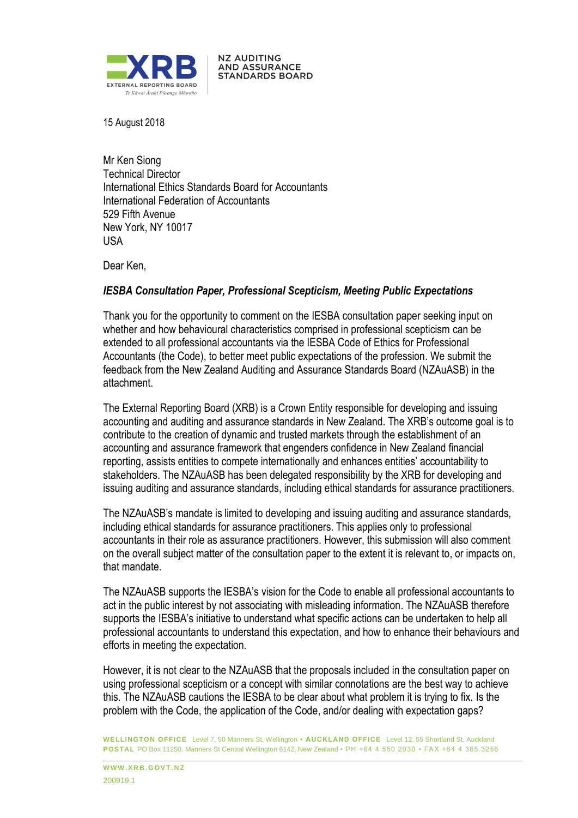

15 August 2018

Mr Ken Siong Technical Director International Ethics Standards Board for Accountants International Federation of Accountants 529 Fifth Avenue New York, NY 10017 USA

**NZ AUDITING AND ASSURANCE STANDARDS BOARD** 

Dear Ken,

#### *IESBA Consultation Paper, Professional Scepticism, Meeting Public Expectations*

Thank you for the opportunity to comment on the IESBA consultation paper seeking input on whether and how behavioural characteristics comprised in professional scepticism can be extended to all professional accountants via the IESBA Code of Ethics for Professional Accountants (the Code), to better meet public expectations of the profession. We submit the feedback from the New Zealand Auditing and Assurance Standards Board (NZAuASB) in the attachment.

The External Reporting Board (XRB) is a Crown Entity responsible for developing and issuing accounting and auditing and assurance standards in New Zealand. The XRB's outcome goal is to contribute to the creation of dynamic and trusted markets through the establishment of an accounting and assurance framework that engenders confidence in New Zealand financial reporting, assists entities to compete internationally and enhances entities' accountability to stakeholders. The NZAuASB has been delegated responsibility by the XRB for developing and issuing auditing and assurance standards, including ethical standards for assurance practitioners.

The NZAuASB's mandate is limited to developing and issuing auditing and assurance standards, including ethical standards for assurance practitioners. This applies only to professional accountants in their role as assurance practitioners. However, this submission will also comment on the overall subject matter of the consultation paper to the extent it is relevant to, or impacts on, that mandate.

The NZAuASB supports the IESBA's vision for the Code to enable all professional accountants to act in the public interest by not associating with misleading information. The NZAuASB therefore supports the IESBA's initiative to understand what specific actions can be undertaken to help all professional accountants to understand this expectation, and how to enhance their behaviours and efforts in meeting the expectation.

However, it is not clear to the NZAuASB that the proposals included in the consultation paper on using professional scepticism or a concept with similar connotations are the best way to achieve this. The NZAuASB cautions the IESBA to be clear about what problem it is trying to fix. Is the problem with the Code, the application of the Code, and/or dealing with expectation gaps?

**WELLINGTON OFFICE** Level 7, 50 Manners St, Wellington **• AUCKLAND OFFICE** Level 12, 55 Shortland St, Auckland **POSTAL** PO Box 11250, Manners St Central Wellington 6142, New Zealand • PH +64 4 550 2030 • FAX +64 4 385 3256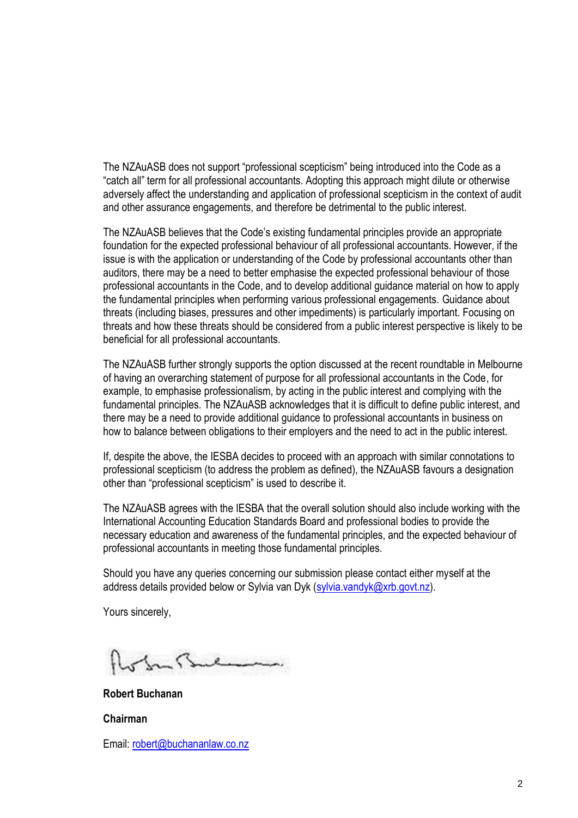The NZAuASB does not support "professional scepticism" being introduced into the Code as a "catch all" term for all professional accountants. Adopting this approach might dilute or otherwise adversely affect the understanding and application of professional scepticism in the context of audit and other assurance engagements, and therefore be detrimental to the public interest.

The NZAuASB believes that the Code's existing fundamental principles provide an appropriate foundation for the expected professional behaviour of all professional accountants. However, if the issue is with the application or understanding of the Code by professional accountants other than auditors, there may be a need to better emphasise the expected professional behaviour of those professional accountants in the Code, and to develop additional guidance material on how to apply the fundamental principles when performing various professional engagements. Guidance about threats (including biases, pressures and other impediments) is particularly important. Focusing on threats and how these threats should be considered from a public interest perspective is likely to be beneficial for all professional accountants.

The NZAuASB further strongly supports the option discussed at the recent roundtable in Melbourne of having an overarching statement of purpose for all professional accountants in the Code, for example, to emphasise professionalism, by acting in the public interest and complying with the fundamental principles. The NZAuASB acknowledges that it is difficult to define public interest, and there may be a need to provide additional guidance to professional accountants in business on how to balance between obligations to their employers and the need to act in the public interest.

If, despite the above, the IESBA decides to proceed with an approach with similar connotations to professional scepticism (to address the problem as defined), the NZAuASB favours a designation other than "professional scepticism" is used to describe it.

The NZAuASB agrees with the IESBA that the overall solution should also include working with the International Accounting Education Standards Board and professional bodies to provide the necessary education and awareness of the fundamental principles, and the expected behaviour of professional accountants in meeting those fundamental principles.

Should you have any queries concerning our submission please contact either myself at the address details provided below or Sylvia van Dyk (sylvia.vandyk@xrb.govt.nz).

Yours sincerely,

**Robert Buchanan**

**Chairman**

Email: robert@buchananlaw.co.nz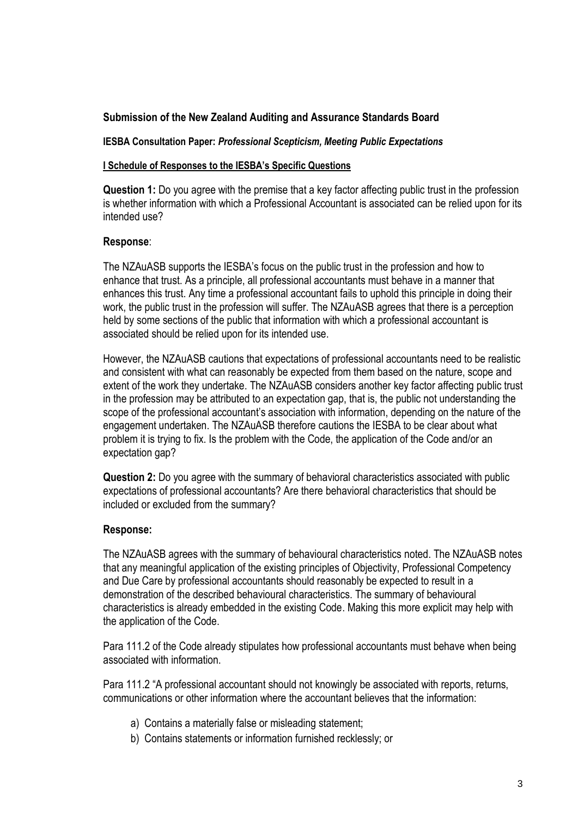# **Submission of the New Zealand Auditing and Assurance Standards Board**

### **IESBA Consultation Paper:** *Professional Scepticism, Meeting Public Expectations*

### **I Schedule of Responses to the IESBA's Specific Questions**

**Question 1:** Do you agree with the premise that a key factor affecting public trust in the profession is whether information with which a Professional Accountant is associated can be relied upon for its intended use?

## **Response**:

The NZAuASB supports the IESBA's focus on the public trust in the profession and how to enhance that trust. As a principle, all professional accountants must behave in a manner that enhances this trust. Any time a professional accountant fails to uphold this principle in doing their work, the public trust in the profession will suffer. The NZAuASB agrees that there is a perception held by some sections of the public that information with which a professional accountant is associated should be relied upon for its intended use.

However, the NZAuASB cautions that expectations of professional accountants need to be realistic and consistent with what can reasonably be expected from them based on the nature, scope and extent of the work they undertake. The NZAuASB considers another key factor affecting public trust in the profession may be attributed to an expectation gap, that is, the public not understanding the scope of the professional accountant's association with information, depending on the nature of the engagement undertaken. The NZAuASB therefore cautions the IESBA to be clear about what problem it is trying to fix. Is the problem with the Code, the application of the Code and/or an expectation gap?

**Question 2:** Do you agree with the summary of behavioral characteristics associated with public expectations of professional accountants? Are there behavioral characteristics that should be included or excluded from the summary?

## **Response:**

The NZAuASB agrees with the summary of behavioural characteristics noted. The NZAuASB notes that any meaningful application of the existing principles of Objectivity, Professional Competency and Due Care by professional accountants should reasonably be expected to result in a demonstration of the described behavioural characteristics. The summary of behavioural characteristics is already embedded in the existing Code. Making this more explicit may help with the application of the Code.

Para 111.2 of the Code already stipulates how professional accountants must behave when being associated with information.

Para 111.2 "A professional accountant should not knowingly be associated with reports, returns, communications or other information where the accountant believes that the information:

- a) Contains a materially false or misleading statement;
- b) Contains statements or information furnished recklessly; or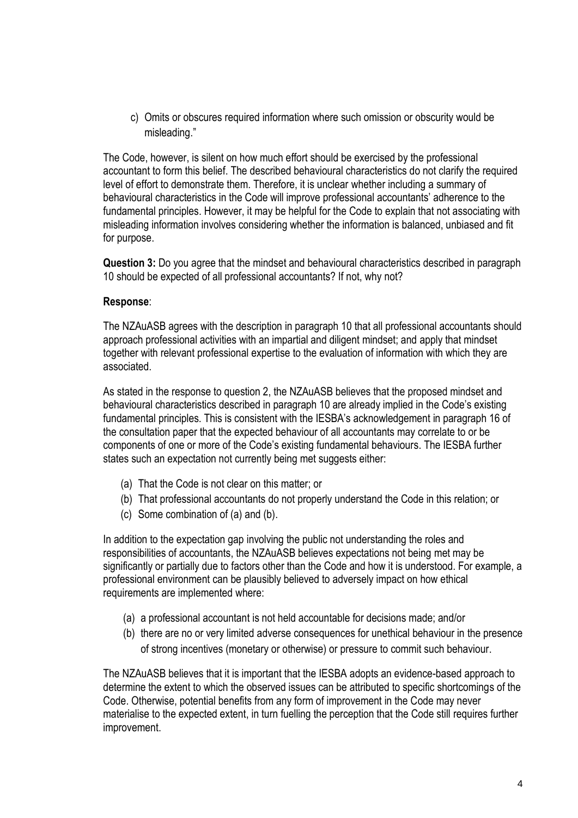c) Omits or obscures required information where such omission or obscurity would be misleading."

The Code, however, is silent on how much effort should be exercised by the professional accountant to form this belief. The described behavioural characteristics do not clarify the required level of effort to demonstrate them. Therefore, it is unclear whether including a summary of behavioural characteristics in the Code will improve professional accountants' adherence to the fundamental principles. However, it may be helpful for the Code to explain that not associating with misleading information involves considering whether the information is balanced, unbiased and fit for purpose.

**Question 3:** Do you agree that the mindset and behavioural characteristics described in paragraph 10 should be expected of all professional accountants? If not, why not?

## **Response**:

The NZAuASB agrees with the description in paragraph 10 that all professional accountants should approach professional activities with an impartial and diligent mindset; and apply that mindset together with relevant professional expertise to the evaluation of information with which they are associated.

As stated in the response to question 2, the NZAuASB believes that the proposed mindset and behavioural characteristics described in paragraph 10 are already implied in the Code's existing fundamental principles. This is consistent with the IESBA's acknowledgement in paragraph 16 of the consultation paper that the expected behaviour of all accountants may correlate to or be components of one or more of the Code's existing fundamental behaviours. The IESBA further states such an expectation not currently being met suggests either:

- (a) That the Code is not clear on this matter; or
- (b) That professional accountants do not properly understand the Code in this relation; or
- (c) Some combination of (a) and (b).

In addition to the expectation gap involving the public not understanding the roles and responsibilities of accountants, the NZAuASB believes expectations not being met may be significantly or partially due to factors other than the Code and how it is understood. For example, a professional environment can be plausibly believed to adversely impact on how ethical requirements are implemented where:

- (a) a professional accountant is not held accountable for decisions made; and/or
- (b) there are no or very limited adverse consequences for unethical behaviour in the presence of strong incentives (monetary or otherwise) or pressure to commit such behaviour.

The NZAuASB believes that it is important that the IESBA adopts an evidence-based approach to determine the extent to which the observed issues can be attributed to specific shortcomings of the Code. Otherwise, potential benefits from any form of improvement in the Code may never materialise to the expected extent, in turn fuelling the perception that the Code still requires further improvement.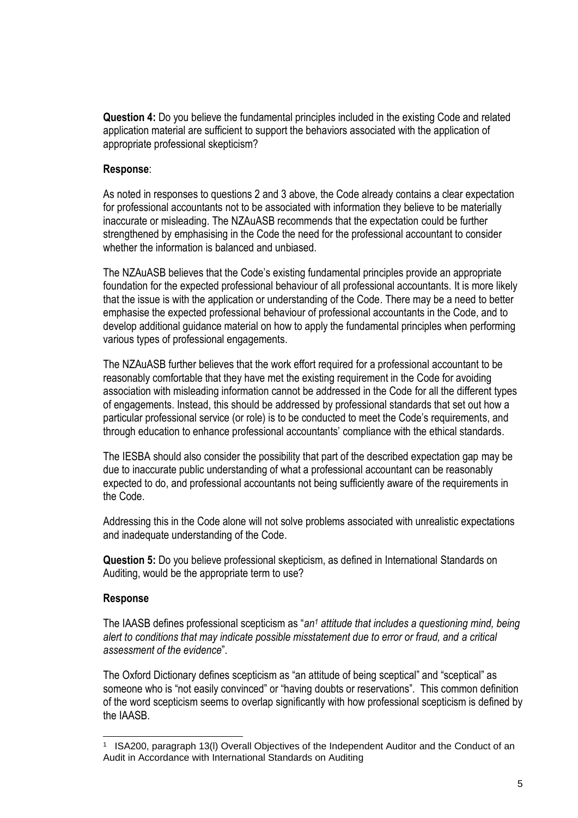**Question 4:** Do you believe the fundamental principles included in the existing Code and related application material are sufficient to support the behaviors associated with the application of appropriate professional skepticism?

### **Response**:

As noted in responses to questions 2 and 3 above, the Code already contains a clear expectation for professional accountants not to be associated with information they believe to be materially inaccurate or misleading. The NZAuASB recommends that the expectation could be further strengthened by emphasising in the Code the need for the professional accountant to consider whether the information is balanced and unbiased.

The NZAuASB believes that the Code's existing fundamental principles provide an appropriate foundation for the expected professional behaviour of all professional accountants. It is more likely that the issue is with the application or understanding of the Code. There may be a need to better emphasise the expected professional behaviour of professional accountants in the Code, and to develop additional guidance material on how to apply the fundamental principles when performing various types of professional engagements.

The NZAuASB further believes that the work effort required for a professional accountant to be reasonably comfortable that they have met the existing requirement in the Code for avoiding association with misleading information cannot be addressed in the Code for all the different types of engagements. Instead, this should be addressed by professional standards that set out how a particular professional service (or role) is to be conducted to meet the Code's requirements, and through education to enhance professional accountants' compliance with the ethical standards.

The IESBA should also consider the possibility that part of the described expectation gap may be due to inaccurate public understanding of what a professional accountant can be reasonably expected to do, and professional accountants not being sufficiently aware of the requirements in the Code.

Addressing this in the Code alone will not solve problems associated with unrealistic expectations and inadequate understanding of the Code.

**Question 5:** Do you believe professional skepticism, as defined in International Standards on Auditing, would be the appropriate term to use?

#### **Response**

l

The IAASB defines professional scepticism as "*an<sup>1</sup> attitude that includes a questioning mind, being alert to conditions that may indicate possible misstatement due to error or fraud, and a critical assessment of the evidence*".

The Oxford Dictionary defines scepticism as "an attitude of being sceptical" and "sceptical" as someone who is "not easily convinced" or "having doubts or reservations". This common definition of the word scepticism seems to overlap significantly with how professional scepticism is defined by the IAASB.

<sup>1</sup> ISA200, paragraph 13(l) Overall Objectives of the Independent Auditor and the Conduct of an Audit in Accordance with International Standards on Auditing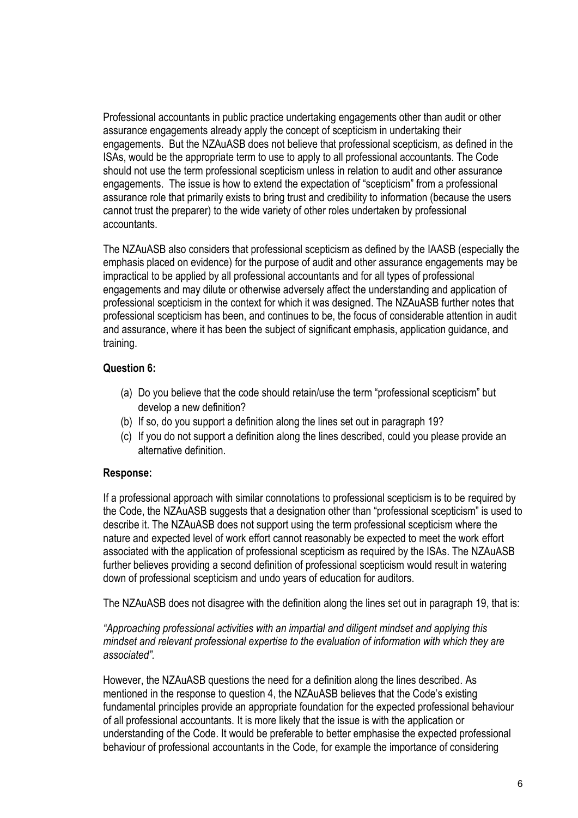Professional accountants in public practice undertaking engagements other than audit or other assurance engagements already apply the concept of scepticism in undertaking their engagements. But the NZAuASB does not believe that professional scepticism, as defined in the ISAs, would be the appropriate term to use to apply to all professional accountants. The Code should not use the term professional scepticism unless in relation to audit and other assurance engagements. The issue is how to extend the expectation of "scepticism" from a professional assurance role that primarily exists to bring trust and credibility to information (because the users cannot trust the preparer) to the wide variety of other roles undertaken by professional accountants.

The NZAuASB also considers that professional scepticism as defined by the IAASB (especially the emphasis placed on evidence) for the purpose of audit and other assurance engagements may be impractical to be applied by all professional accountants and for all types of professional engagements and may dilute or otherwise adversely affect the understanding and application of professional scepticism in the context for which it was designed. The NZAuASB further notes that professional scepticism has been, and continues to be, the focus of considerable attention in audit and assurance, where it has been the subject of significant emphasis, application guidance, and training.

# **Question 6:**

- (a) Do you believe that the code should retain/use the term "professional scepticism" but develop a new definition?
- (b) If so, do you support a definition along the lines set out in paragraph 19?
- (c) If you do not support a definition along the lines described, could you please provide an alternative definition.

## **Response:**

If a professional approach with similar connotations to professional scepticism is to be required by the Code, the NZAuASB suggests that a designation other than "professional scepticism" is used to describe it. The NZAuASB does not support using the term professional scepticism where the nature and expected level of work effort cannot reasonably be expected to meet the work effort associated with the application of professional scepticism as required by the ISAs. The NZAuASB further believes providing a second definition of professional scepticism would result in watering down of professional scepticism and undo years of education for auditors.

The NZAuASB does not disagree with the definition along the lines set out in paragraph 19, that is:

*"Approaching professional activities with an impartial and diligent mindset and applying this mindset and relevant professional expertise to the evaluation of information with which they are associated".*

However, the NZAuASB questions the need for a definition along the lines described. As mentioned in the response to question 4, the NZAuASB believes that the Code's existing fundamental principles provide an appropriate foundation for the expected professional behaviour of all professional accountants. It is more likely that the issue is with the application or understanding of the Code. It would be preferable to better emphasise the expected professional behaviour of professional accountants in the Code, for example the importance of considering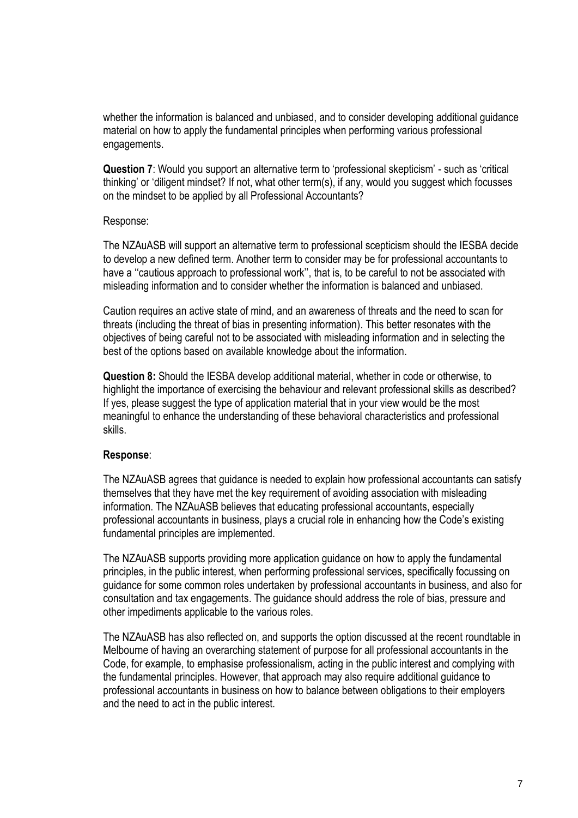whether the information is balanced and unbiased, and to consider developing additional guidance material on how to apply the fundamental principles when performing various professional engagements.

**Question 7**: Would you support an alternative term to 'professional skepticism' - such as 'critical thinking' or 'diligent mindset? If not, what other term(s), if any, would you suggest which focusses on the mindset to be applied by all Professional Accountants?

#### Response:

The NZAuASB will support an alternative term to professional scepticism should the IESBA decide to develop a new defined term. Another term to consider may be for professional accountants to have a ''cautious approach to professional work'', that is, to be careful to not be associated with misleading information and to consider whether the information is balanced and unbiased.

Caution requires an active state of mind, and an awareness of threats and the need to scan for threats (including the threat of bias in presenting information). This better resonates with the objectives of being careful not to be associated with misleading information and in selecting the best of the options based on available knowledge about the information.

**Question 8:** Should the IESBA develop additional material, whether in code or otherwise, to highlight the importance of exercising the behaviour and relevant professional skills as described? If yes, please suggest the type of application material that in your view would be the most meaningful to enhance the understanding of these behavioral characteristics and professional skills.

## **Response**:

The NZAuASB agrees that guidance is needed to explain how professional accountants can satisfy themselves that they have met the key requirement of avoiding association with misleading information. The NZAuASB believes that educating professional accountants, especially professional accountants in business, plays a crucial role in enhancing how the Code's existing fundamental principles are implemented.

The NZAuASB supports providing more application guidance on how to apply the fundamental principles, in the public interest, when performing professional services, specifically focussing on guidance for some common roles undertaken by professional accountants in business, and also for consultation and tax engagements. The guidance should address the role of bias, pressure and other impediments applicable to the various roles.

The NZAuASB has also reflected on, and supports the option discussed at the recent roundtable in Melbourne of having an overarching statement of purpose for all professional accountants in the Code, for example, to emphasise professionalism, acting in the public interest and complying with the fundamental principles. However, that approach may also require additional guidance to professional accountants in business on how to balance between obligations to their employers and the need to act in the public interest.